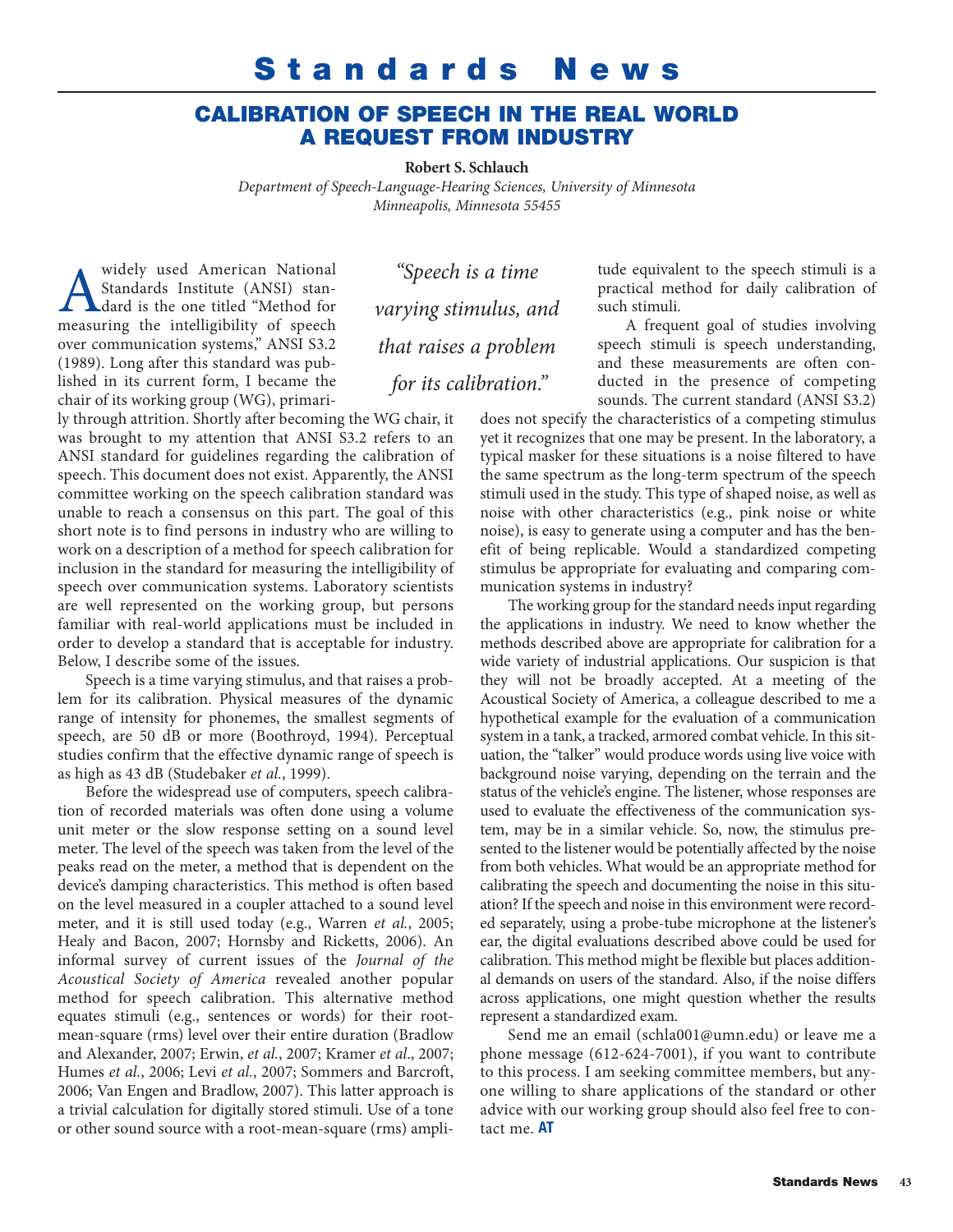## **Standards News**

## **CALIBRATION OF SPEECH IN THE REAL WORLD A REQUEST FROM INDUSTRY**

**Robert S. Schlauch**

*Department of Speech-Language-Hearing Sciences, University of Minnesota Minneapolis, Minnesota 55455*

widely used American National<br>Standards Institute (ANSI) stan-<br>dard is the one titled "Method for<br>measuring the intelligibility of speech Standards Institute (ANSI) standard is the one titled "Method for measuring the intelligibility of speech over communication systems," ANSI S3.2 (1989). Long after this standard was published in its current form, I became the chair of its working group (WG), primari-

*"Speech is a time varying stimulus, and that raises a problem for its calibration."* 

ly through attrition. Shortly after becoming the WG chair, it was brought to my attention that ANSI S3.2 refers to an ANSI standard for guidelines regarding the calibration of speech. This document does not exist. Apparently, the ANSI committee working on the speech calibration standard was unable to reach a consensus on this part. The goal of this short note is to find persons in industry who are willing to work on a description of a method for speech calibration for inclusion in the standard for measuring the intelligibility of speech over communication systems. Laboratory scientists are well represented on the working group, but persons familiar with real-world applications must be included in order to develop a standard that is acceptable for industry. Below, I describe some of the issues.

Speech is a time varying stimulus, and that raises a problem for its calibration. Physical measures of the dynamic range of intensity for phonemes, the smallest segments of speech, are 50 dB or more (Boothroyd, 1994). Perceptual studies confirm that the effective dynamic range of speech is as high as 43 dB (Studebaker *et al.*, 1999).

Before the widespread use of computers, speech calibration of recorded materials was often done using a volume unit meter or the slow response setting on a sound level meter. The level of the speech was taken from the level of the peaks read on the meter, a method that is dependent on the device's damping characteristics. This method is often based on the level measured in a coupler attached to a sound level meter, and it is still used today (e.g., Warren *et al.*, 2005; Healy and Bacon, 2007; Hornsby and Ricketts, 2006). An informal survey of current issues of the *Journal of the Acoustical Society of America* revealed another popular method for speech calibration. This alternative method equates stimuli (e.g., sentences or words) for their rootmean-square (rms) level over their entire duration (Bradlow and Alexander, 2007; Erwin, *et al.*, 2007; Kramer *et al*., 2007; Humes *et al.*, 2006; Levi *et al.*, 2007; Sommers and Barcroft, 2006; Van Engen and Bradlow, 2007). This latter approach is a trivial calculation for digitally stored stimuli. Use of a tone or other sound source with a root-mean-square (rms) amplitude equivalent to the speech stimuli is a practical method for daily calibration of such stimuli.

A frequent goal of studies involving speech stimuli is speech understanding, and these measurements are often conducted in the presence of competing sounds. The current standard (ANSI S3.2)

does not specify the characteristics of a competing stimulus yet it recognizes that one may be present. In the laboratory, a typical masker for these situations is a noise filtered to have the same spectrum as the long-term spectrum of the speech stimuli used in the study. This type of shaped noise, as well as noise with other characteristics (e.g., pink noise or white noise), is easy to generate using a computer and has the benefit of being replicable. Would a standardized competing stimulus be appropriate for evaluating and comparing communication systems in industry?

The working group for the standard needs input regarding the applications in industry. We need to know whether the methods described above are appropriate for calibration for a wide variety of industrial applications. Our suspicion is that they will not be broadly accepted. At a meeting of the Acoustical Society of America, a colleague described to me a hypothetical example for the evaluation of a communication system in a tank, a tracked, armored combat vehicle. In this situation, the "talker" would produce words using live voice with background noise varying, depending on the terrain and the status of the vehicle's engine. The listener, whose responses are used to evaluate the effectiveness of the communication system, may be in a similar vehicle. So, now, the stimulus presented to the listener would be potentially affected by the noise from both vehicles. What would be an appropriate method for calibrating the speech and documenting the noise in this situation? If the speech and noise in this environment were recorded separately, using a probe-tube microphone at the listener's ear, the digital evaluations described above could be used for calibration. This method might be flexible but places additional demands on users of the standard. Also, if the noise differs across applications, one might question whether the results represent a standardized exam.

Send me an email (schla001@umn.edu) or leave me a phone message (612-624-7001), if you want to contribute to this process. I am seeking committee members, but anyone willing to share applications of the standard or other advice with our working group should also feel free to contact me. **AT**